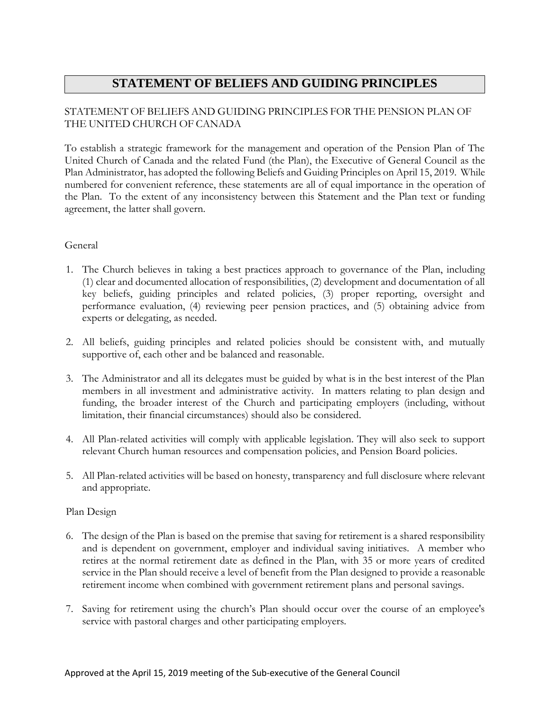# **STATEMENT OF BELIEFS AND GUIDING PRINCIPLES**

## STATEMENT OF BELIEFS AND GUIDING PRINCIPLES FOR THE PENSION PLAN OF THE UNITED CHURCH OF CANADA

To establish a strategic framework for the management and operation of the Pension Plan of The United Church of Canada and the related Fund (the Plan), the Executive of General Council as the Plan Administrator, has adopted the following Beliefs and Guiding Principles on April 15, 2019. While numbered for convenient reference, these statements are all of equal importance in the operation of the Plan. To the extent of any inconsistency between this Statement and the Plan text or funding agreement, the latter shall govern.

### General

- 1. The Church believes in taking a best practices approach to governance of the Plan, including (1) clear and documented allocation of responsibilities, (2) development and documentation of all key beliefs, guiding principles and related policies, (3) proper reporting, oversight and performance evaluation, (4) reviewing peer pension practices, and (5) obtaining advice from experts or delegating, as needed.
- 2. All beliefs, guiding principles and related policies should be consistent with, and mutually supportive of, each other and be balanced and reasonable.
- 3. The Administrator and all its delegates must be guided by what is in the best interest of the Plan members in all investment and administrative activity. In matters relating to plan design and funding, the broader interest of the Church and participating employers (including, without limitation, their financial circumstances) should also be considered.
- 4. All Plan-related activities will comply with applicable legislation. They will also seek to support relevant Church human resources and compensation policies, and Pension Board policies.
- 5. All Plan-related activities will be based on honesty, transparency and full disclosure where relevant and appropriate.

### Plan Design

- 6. The design of the Plan is based on the premise that saving for retirement is a shared responsibility and is dependent on government, employer and individual saving initiatives. A member who retires at the normal retirement date as defined in the Plan, with 35 or more years of credited service in the Plan should receive a level of benefit from the Plan designed to provide a reasonable retirement income when combined with government retirement plans and personal savings.
- 7. Saving for retirement using the church's Plan should occur over the course of an employee's service with pastoral charges and other participating employers.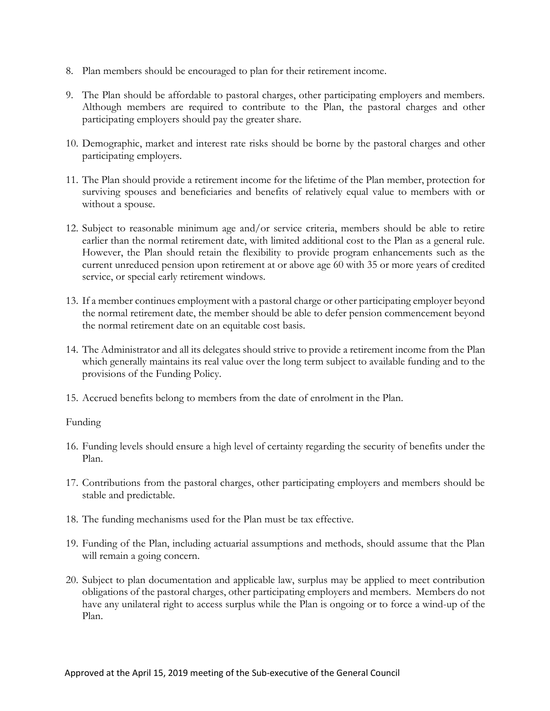- 8. Plan members should be encouraged to plan for their retirement income.
- 9. The Plan should be affordable to pastoral charges, other participating employers and members. Although members are required to contribute to the Plan, the pastoral charges and other participating employers should pay the greater share.
- 10. Demographic, market and interest rate risks should be borne by the pastoral charges and other participating employers.
- 11. The Plan should provide a retirement income for the lifetime of the Plan member, protection for surviving spouses and beneficiaries and benefits of relatively equal value to members with or without a spouse.
- 12. Subject to reasonable minimum age and/or service criteria, members should be able to retire earlier than the normal retirement date, with limited additional cost to the Plan as a general rule. However, the Plan should retain the flexibility to provide program enhancements such as the current unreduced pension upon retirement at or above age 60 with 35 or more years of credited service, or special early retirement windows.
- 13. If a member continues employment with a pastoral charge or other participating employer beyond the normal retirement date, the member should be able to defer pension commencement beyond the normal retirement date on an equitable cost basis.
- 14. The Administrator and all its delegates should strive to provide a retirement income from the Plan which generally maintains its real value over the long term subject to available funding and to the provisions of the Funding Policy.
- 15. Accrued benefits belong to members from the date of enrolment in the Plan.

### Funding

- 16. Funding levels should ensure a high level of certainty regarding the security of benefits under the Plan.
- 17. Contributions from the pastoral charges, other participating employers and members should be stable and predictable.
- 18. The funding mechanisms used for the Plan must be tax effective.
- 19. Funding of the Plan, including actuarial assumptions and methods, should assume that the Plan will remain a going concern.
- 20. Subject to plan documentation and applicable law, surplus may be applied to meet contribution obligations of the pastoral charges, other participating employers and members. Members do not have any unilateral right to access surplus while the Plan is ongoing or to force a wind-up of the Plan.